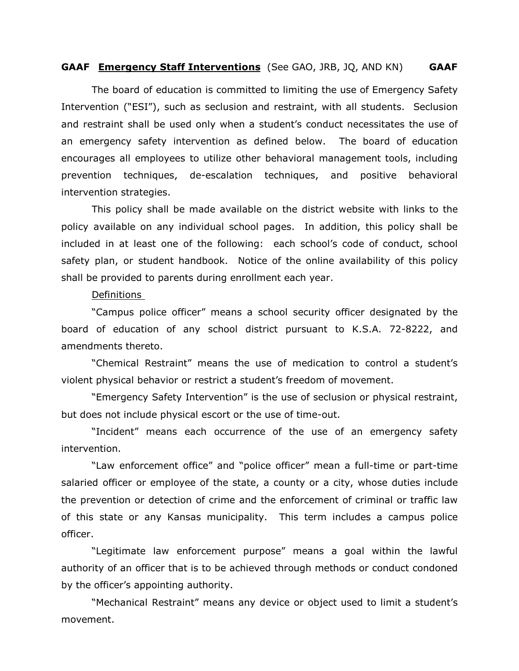### **GAAF Emergency Staff Interventions** (See GAO, JRB, JQ, AND KN) **GAAF**

The board of education is committed to limiting the use of Emergency Safety Intervention ("ESI"), such as seclusion and restraint, with all students. Seclusion and restraint shall be used only when a student's conduct necessitates the use of an emergency safety intervention as defined below. The board of education encourages all employees to utilize other behavioral management tools, including prevention techniques, de-escalation techniques, and positive behavioral intervention strategies.

This policy shall be made available on the district website with links to the policy available on any individual school pages. In addition, this policy shall be included in at least one of the following: each school's code of conduct, school safety plan, or student handbook. Notice of the online availability of this policy shall be provided to parents during enrollment each year.

#### Definitions

"Campus police officer" means a school security officer designated by the board of education of any school district pursuant to K.S.A. 72-8222, and amendments thereto.

"Chemical Restraint" means the use of medication to control a student's violent physical behavior or restrict a student's freedom of movement.

"Emergency Safety Intervention" is the use of seclusion or physical restraint, but does not include physical escort or the use of time-out.

"Incident" means each occurrence of the use of an emergency safety intervention.

"Law enforcement office" and "police officer" mean a full-time or part-time salaried officer or employee of the state, a county or a city, whose duties include the prevention or detection of crime and the enforcement of criminal or traffic law of this state or any Kansas municipality. This term includes a campus police officer.

"Legitimate law enforcement purpose" means a goal within the lawful authority of an officer that is to be achieved through methods or conduct condoned by the officer's appointing authority.

"Mechanical Restraint" means any device or object used to limit a student's movement.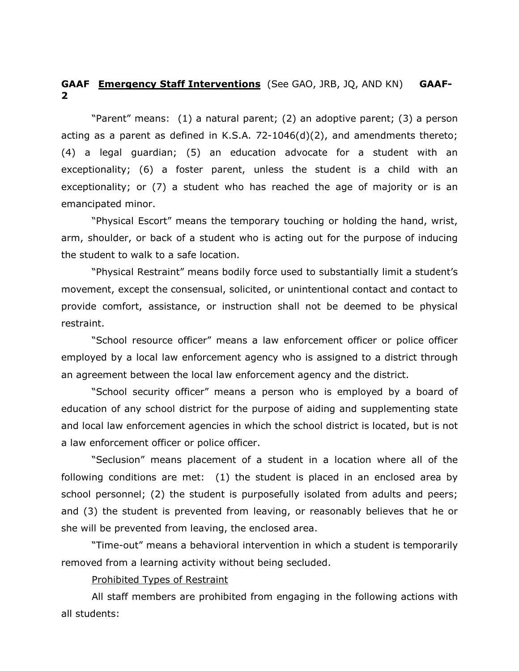# **GAAF Emergency Staff Interventions** (See GAO, JRB, JQ, AND KN) **GAAF-2**

"Parent" means: (1) a natural parent; (2) an adoptive parent; (3) a person acting as a parent as defined in K.S.A. 72-1046(d)(2), and amendments thereto; (4) a legal guardian; (5) an education advocate for a student with an exceptionality; (6) a foster parent, unless the student is a child with an exceptionality; or (7) a student who has reached the age of majority or is an emancipated minor.

"Physical Escort" means the temporary touching or holding the hand, wrist, arm, shoulder, or back of a student who is acting out for the purpose of inducing the student to walk to a safe location.

"Physical Restraint" means bodily force used to substantially limit a student's movement, except the consensual, solicited, or unintentional contact and contact to provide comfort, assistance, or instruction shall not be deemed to be physical restraint.

"School resource officer" means a law enforcement officer or police officer employed by a local law enforcement agency who is assigned to a district through an agreement between the local law enforcement agency and the district.

"School security officer" means a person who is employed by a board of education of any school district for the purpose of aiding and supplementing state and local law enforcement agencies in which the school district is located, but is not a law enforcement officer or police officer.

"Seclusion" means placement of a student in a location where all of the following conditions are met: (1) the student is placed in an enclosed area by school personnel; (2) the student is purposefully isolated from adults and peers; and (3) the student is prevented from leaving, or reasonably believes that he or she will be prevented from leaving, the enclosed area.

"Time-out" means a behavioral intervention in which a student is temporarily removed from a learning activity without being secluded.

Prohibited Types of Restraint

All staff members are prohibited from engaging in the following actions with all students: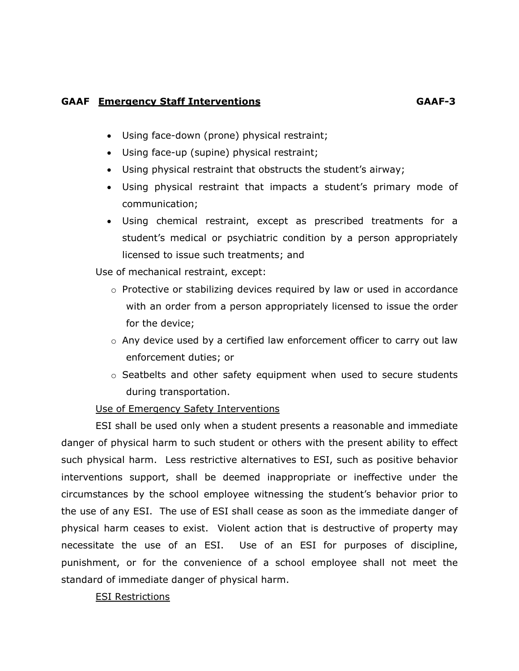# **GAAF Emergency Staff Interventions GAAF-3**

- Using face-down (prone) physical restraint;
- Using face-up (supine) physical restraint;
- Using physical restraint that obstructs the student's airway;
- Using physical restraint that impacts a student's primary mode of communication;
- Using chemical restraint, except as prescribed treatments for a student's medical or psychiatric condition by a person appropriately licensed to issue such treatments; and

Use of mechanical restraint, except:

- o Protective or stabilizing devices required by law or used in accordance with an order from a person appropriately licensed to issue the order for the device;
- $\circ$  Any device used by a certified law enforcement officer to carry out law enforcement duties; or
- $\circ$  Seatbelts and other safety equipment when used to secure students during transportation.

# Use of Emergency Safety Interventions

ESI shall be used only when a student presents a reasonable and immediate danger of physical harm to such student or others with the present ability to effect such physical harm. Less restrictive alternatives to ESI, such as positive behavior interventions support, shall be deemed inappropriate or ineffective under the circumstances by the school employee witnessing the student's behavior prior to the use of any ESI. The use of ESI shall cease as soon as the immediate danger of physical harm ceases to exist. Violent action that is destructive of property may necessitate the use of an ESI. Use of an ESI for purposes of discipline, punishment, or for the convenience of a school employee shall not meet the standard of immediate danger of physical harm.

# ESI Restrictions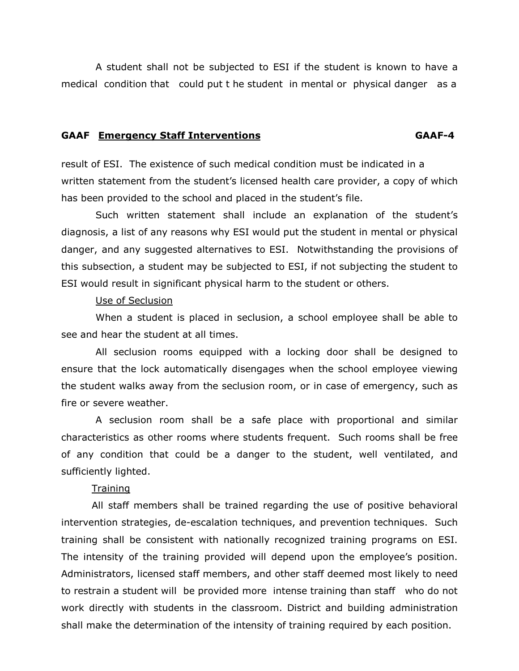A student shall not be subjected to ESI if the student is known to have a medical condition that could put t he student in mental or physical danger as a

#### **GAAF Emergency Staff Interventions GAAF-4**

result of ESI. The existence of such medical condition must be indicated in a written statement from the student's licensed health care provider, a copy of which has been provided to the school and placed in the student's file.

Such written statement shall include an explanation of the student's diagnosis, a list of any reasons why ESI would put the student in mental or physical danger, and any suggested alternatives to ESI. Notwithstanding the provisions of this subsection, a student may be subjected to ESI, if not subjecting the student to ESI would result in significant physical harm to the student or others.

#### Use of Seclusion

When a student is placed in seclusion, a school employee shall be able to see and hear the student at all times.

All seclusion rooms equipped with a locking door shall be designed to ensure that the lock automatically disengages when the school employee viewing the student walks away from the seclusion room, or in case of emergency, such as fire or severe weather.

A seclusion room shall be a safe place with proportional and similar characteristics as other rooms where students frequent. Such rooms shall be free of any condition that could be a danger to the student, well ventilated, and sufficiently lighted.

# **Training**

All staff members shall be trained regarding the use of positive behavioral intervention strategies, de-escalation techniques, and prevention techniques. Such training shall be consistent with nationally recognized training programs on ESI. The intensity of the training provided will depend upon the employee's position. Administrators, licensed staff members, and other staff deemed most likely to need to restrain a student will be provided more intense training than staff who do not work directly with students in the classroom. District and building administration shall make the determination of the intensity of training required by each position.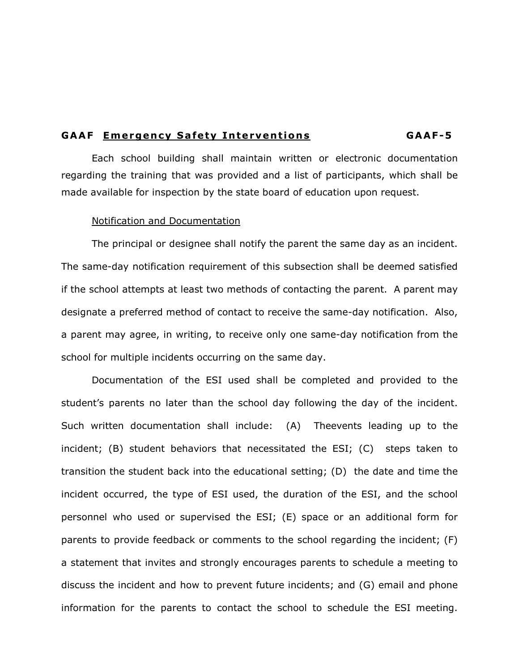### **GAAF Emergency Safety Interventions GAAF-5**

Each school building shall maintain written or electronic documentation regarding the training that was provided and a list of participants, which shall be made available for inspection by the state board of education upon request.

#### Notification and Documentation

The principal or designee shall notify the parent the same day as an incident. The same-day notification requirement of this subsection shall be deemed satisfied if the school attempts at least two methods of contacting the parent. A parent may designate a preferred method of contact to receive the same-day notification. Also, a parent may agree, in writing, to receive only one same-day notification from the school for multiple incidents occurring on the same day.

Documentation of the ESI used shall be completed and provided to the student's parents no later than the school day following the day of the incident. Such written documentation shall include: (A) Theevents leading up to the incident; (B) student behaviors that necessitated the ESI; (C) steps taken to transition the student back into the educational setting; (D) the date and time the incident occurred, the type of ESI used, the duration of the ESI, and the school personnel who used or supervised the ESI; (E) space or an additional form for parents to provide feedback or comments to the school regarding the incident; (F) a statement that invites and strongly encourages parents to schedule a meeting to discuss the incident and how to prevent future incidents; and (G) email and phone information for the parents to contact the school to schedule the ESI meeting.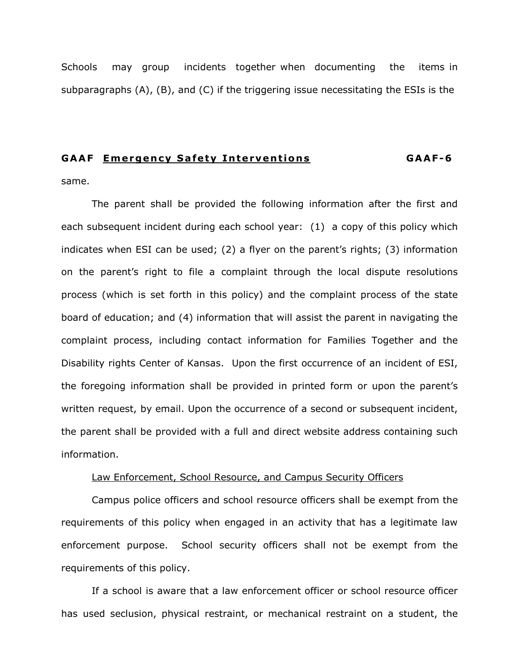Schools may group incidents together when documenting the items in subparagraphs (A), (B), and (C) if the triggering issue necessitating the ESIs is the

# **GAAF Emergency Safety Interventions GAAF-6**

same.

The parent shall be provided the following information after the first and each subsequent incident during each school year: (1) a copy of this policy which indicates when ESI can be used; (2) a flyer on the parent's rights; (3) information on the parent's right to file a complaint through the local dispute resolutions process (which is set forth in this policy) and the complaint process of the state board of education; and (4) information that will assist the parent in navigating the complaint process, including contact information for Families Together and the Disability rights Center of Kansas. Upon the first occurrence of an incident of ESI, the foregoing information shall be provided in printed form or upon the parent's written request, by email. Upon the occurrence of a second or subsequent incident, the parent shall be provided with a full and direct website address containing such information.

#### Law Enforcement, School Resource, and Campus Security Officers

Campus police officers and school resource officers shall be exempt from the requirements of this policy when engaged in an activity that has a legitimate law enforcement purpose. School security officers shall not be exempt from the requirements of this policy.

If a school is aware that a law enforcement officer or school resource officer has used seclusion, physical restraint, or mechanical restraint on a student, the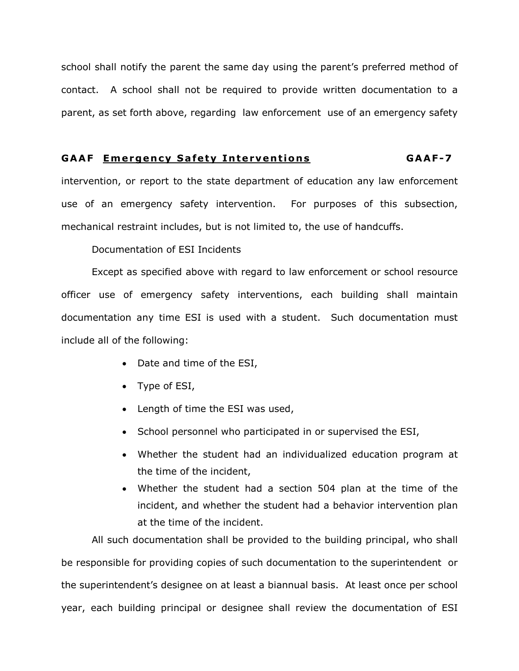school shall notify the parent the same day using the parent's preferred method of contact. A school shall not be required to provide written documentation to a parent, as set forth above, regarding law enforcement use of an emergency safety

# **GAAF Emergency Safety Interventions GAAF-7**

intervention, or report to the state department of education any law enforcement use of an emergency safety intervention. For purposes of this subsection, mechanical restraint includes, but is not limited to, the use of handcuffs.

Documentation of ESI Incidents

Except as specified above with regard to law enforcement or school resource officer use of emergency safety interventions, each building shall maintain documentation any time ESI is used with a student. Such documentation must include all of the following:

- Date and time of the ESI,
- Type of ESI,
- Length of time the ESI was used,
- School personnel who participated in or supervised the ESI,
- Whether the student had an individualized education program at the time of the incident,
- Whether the student had a section 504 plan at the time of the incident, and whether the student had a behavior intervention plan at the time of the incident.

All such documentation shall be provided to the building principal, who shall be responsible for providing copies of such documentation to the superintendent or the superintendent's designee on at least a biannual basis. At least once per school year, each building principal or designee shall review the documentation of ESI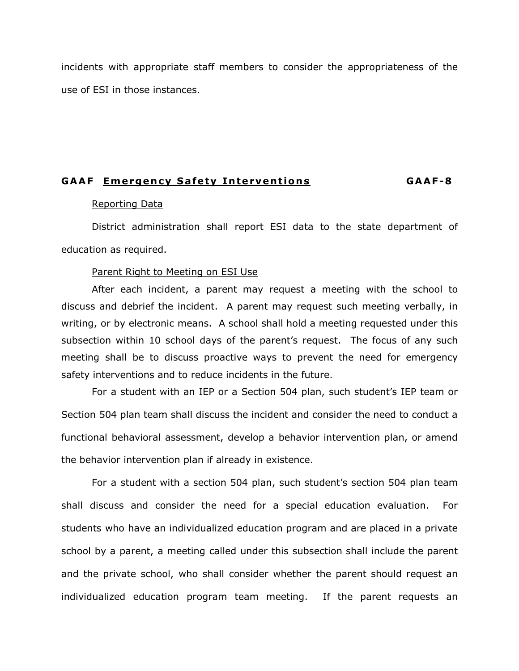incidents with appropriate staff members to consider the appropriateness of the use of ESI in those instances.

# **GAAF Emergency Safety Interventions GAAF-8**

#### Reporting Data

District administration shall report ESI data to the state department of education as required.

# Parent Right to Meeting on ESI Use

After each incident, a parent may request a meeting with the school to discuss and debrief the incident. A parent may request such meeting verbally, in writing, or by electronic means. A school shall hold a meeting requested under this subsection within 10 school days of the parent's request. The focus of any such meeting shall be to discuss proactive ways to prevent the need for emergency safety interventions and to reduce incidents in the future.

For a student with an IEP or a Section 504 plan, such student's IEP team or Section 504 plan team shall discuss the incident and consider the need to conduct a functional behavioral assessment, develop a behavior intervention plan, or amend the behavior intervention plan if already in existence.

For a student with a section 504 plan, such student's section 504 plan team shall discuss and consider the need for a special education evaluation. For students who have an individualized education program and are placed in a private school by a parent, a meeting called under this subsection shall include the parent and the private school, who shall consider whether the parent should request an individualized education program team meeting. If the parent requests an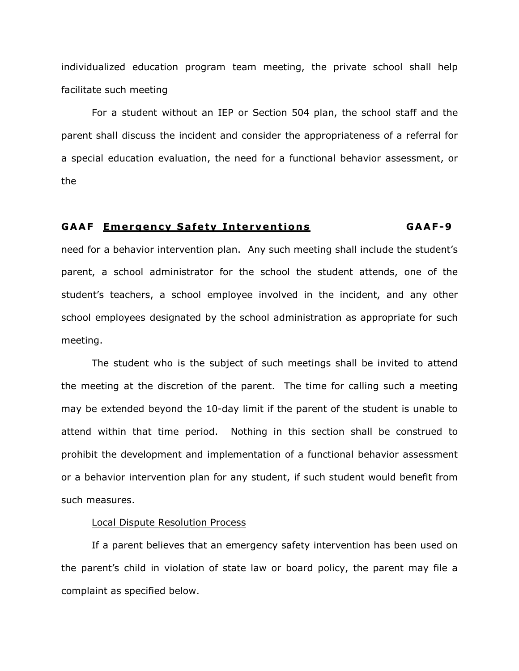individualized education program team meeting, the private school shall help facilitate such meeting

For a student without an IEP or Section 504 plan, the school staff and the parent shall discuss the incident and consider the appropriateness of a referral for a special education evaluation, the need for a functional behavior assessment, or the

#### **GAAF Emergency Safety Interventions GAAF-9**

need for a behavior intervention plan. Any such meeting shall include the student's parent, a school administrator for the school the student attends, one of the student's teachers, a school employee involved in the incident, and any other school employees designated by the school administration as appropriate for such meeting.

The student who is the subject of such meetings shall be invited to attend the meeting at the discretion of the parent. The time for calling such a meeting may be extended beyond the 10-day limit if the parent of the student is unable to attend within that time period. Nothing in this section shall be construed to prohibit the development and implementation of a functional behavior assessment or a behavior intervention plan for any student, if such student would benefit from such measures.

#### Local Dispute Resolution Process

If a parent believes that an emergency safety intervention has been used on the parent's child in violation of state law or board policy, the parent may file a complaint as specified below.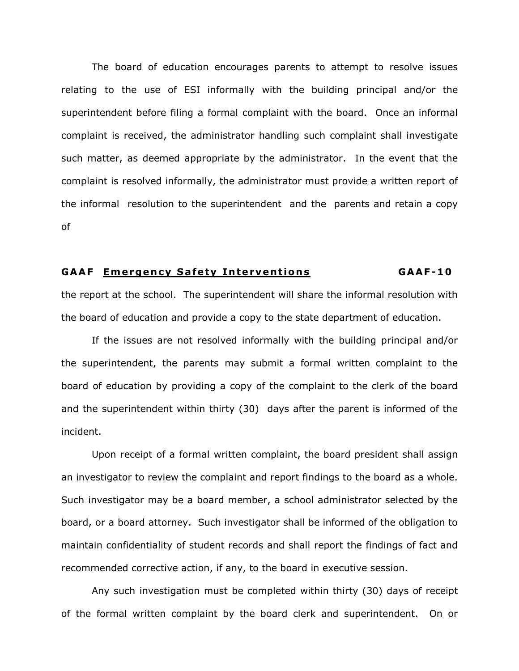The board of education encourages parents to attempt to resolve issues relating to the use of ESI informally with the building principal and/or the superintendent before filing a formal complaint with the board. Once an informal complaint is received, the administrator handling such complaint shall investigate such matter, as deemed appropriate by the administrator. In the event that the complaint is resolved informally, the administrator must provide a written report of the informal resolution to the superintendent and the parents and retain a copy of

#### **GAAF Emergency Safety Interventions GAAF-1 0**

the report at the school. The superintendent will share the informal resolution with the board of education and provide a copy to the state department of education.

If the issues are not resolved informally with the building principal and/or the superintendent, the parents may submit a formal written complaint to the board of education by providing a copy of the complaint to the clerk of the board and the superintendent within thirty (30) days after the parent is informed of the incident.

Upon receipt of a formal written complaint, the board president shall assign an investigator to review the complaint and report findings to the board as a whole. Such investigator may be a board member, a school administrator selected by the board, or a board attorney. Such investigator shall be informed of the obligation to maintain confidentiality of student records and shall report the findings of fact and recommended corrective action, if any, to the board in executive session.

Any such investigation must be completed within thirty (30) days of receipt of the formal written complaint by the board clerk and superintendent. On or